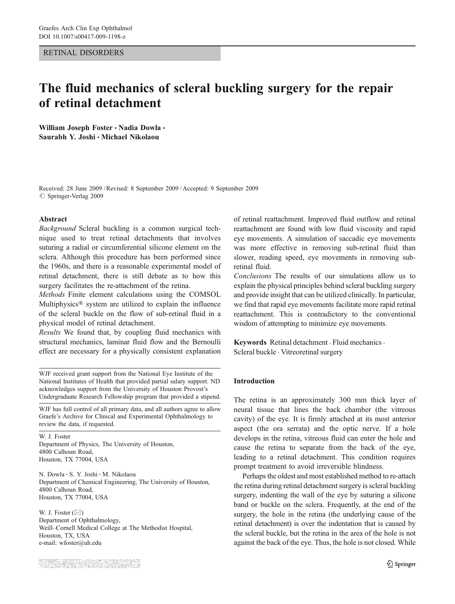#### RETINAL DISORDERS

# The fluid mechanics of scleral buckling surgery for the repair of retinal detachment

William Joseph Foster · Nadia Dowla · Saurabh Y. Joshi · Michael Nikolaou

Received: 28 June 2009 /Revised: 8 September 2009 / Accepted: 9 September 2009  $\oslash$  Springer-Verlag 2009

#### Abstract

Background Scleral buckling is a common surgical technique used to treat retinal detachments that involves suturing a radial or circumferential silicone element on the sclera. Although this procedure has been performed since the 1960s, and there is a reasonable experimental model of retinal detachment, there is still debate as to how this surgery facilitates the re-attachment of the retina.

Methods Finite element calculations using the COMSOL Multiphysics® system are utilized to explain the influence of the scleral buckle on the flow of sub-retinal fluid in a physical model of retinal detachment.

Results We found that, by coupling fluid mechanics with structural mechanics, laminar fluid flow and the Bernoulli effect are necessary for a physically consistent explanation

WJF received grant support from the National Eye Institute of the National Institutes of Health that provided partial salary support. ND acknowledges support from the University of Houston Provost's Undergraduate Research Fellowship program that provided a stipend.

WJF has full control of all primary data, and all authors agree to allow Graefe's Archive for Clinical and Experimental Ophthalmology to review the data, if requested.

W. J. Foster Department of Physics, The University of Houston, 4800 Calhoun Road, Houston, TX 77004, USA

N. Dowla : S. Y. Joshi : M. Nikolaou Department of Chemical Engineering, The University of Houston, 4800 Calhoun Road, Houston, TX 77004, USA

W. J. Foster (*\**) Department of Ophthalmology, Weill–Cornell Medical College at The Methodist Hospital, Houston, TX, USA e-mail: wfoster@uh.edu

of retinal reattachment. Improved fluid outflow and retinal reattachment are found with low fluid viscosity and rapid eye movements. A simulation of saccadic eye movements was more effective in removing sub-retinal fluid than slower, reading speed, eye movements in removing subretinal fluid.

Conclusions The results of our simulations allow us to explain the physical principles behind scleral buckling surgery and provide insight that can be utilized clinically. In particular, we find that rapid eye movements facilitate more rapid retinal reattachment. This is contradictory to the conventional wisdom of attempting to minimize eye movements.

Keywords Retinal detachment . Fluid mechanics . Scleral buckle . Vitreoretinal surgery

### Introduction

The retina is an approximately 300 mm thick layer of neural tissue that lines the back chamber (the vitreous cavity) of the eye. It is firmly attached at its most anterior aspect (the ora serrata) and the optic nerve. If a hole develops in the retina, vitreous fluid can enter the hole and cause the retina to separate from the back of the eye, leading to a retinal detachment. This condition requires prompt treatment to avoid irreversible blindness.

Perhaps the oldest and most established method to re-attach the retina during retinal detachment surgery is scleral buckling surgery, indenting the wall of the eye by suturing a silicone band or buckle on the sclera. Frequently, at the end of the surgery, the hole in the retina (the underlying cause of the retinal detachment) is over the indentation that is caused by the scleral buckle, but the retina in the area of the hole is not against the back of the eye. Thus, the hole is not closed. While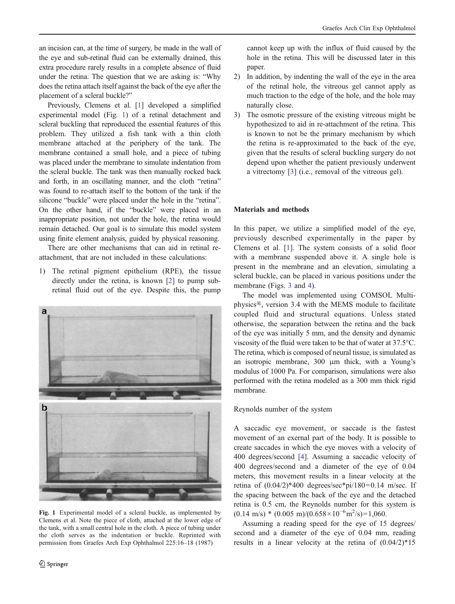an incision can, at the time of surgery, be made in the wall of the eye and sub-retinal fluid can be externally drained, this extra procedure rarely results in a complete absence of fluid under the retina. The question that we are asking is: "Why does the retina attach itself against the back of the eye after the placement of a scleral buckle?"

Previously, Clemens et al. [\[1\]](#page-5-0) developed a simplified experimental model (Fig. 1) of a retinal detachment and scleral buckling that reproduced the essential features of this problem. They utilized a fish tank with a thin cloth membrane attached at the periphery of the tank. The membrane contained a small hole, and a piece of tubing was placed under the membrane to simulate indentation from the scleral buckle. The tank was then manually rocked back and forth, in an oscillating manner, and the cloth "retina" was found to re-attach itself to the bottom of the tank if the silicone "buckle" were placed under the hole in the "retina". On the other hand, if the "buckle" were placed in an inappropriate position, not under the hole, the retina would remain detached. Our goal is to simulate this model system using finite element analysis, guided by physical reasoning.

There are other mechanisms that can aid in retinal reattachment, that are not included in these calculations:

1) The retinal pigment epithelium (RPE), the tissue directly under the retina, is known [[2\]](#page-5-0) to pump subretinal fluid out of the eye. Despite this, the pump



Fig. 1 Experimental model of a scleral buckle, as implemented by Clemens et al. Note the piece of cloth, attached at the lower edge of the tank, with a small central hole in the cloth. A piece of tubing under the cloth serves as the indentation or buckle. Reprinted with permission from Graefes Arch Exp Ophthalmol 225:16–18 (1987)

cannot keep up with the influx of fluid caused by the hole in the retina. This will be discussed later in this paper.

- 2) In addition, by indenting the wall of the eye in the area of the retinal hole, the vitreous gel cannot apply as much traction to the edge of the hole, and the hole may naturally close.
- 3) The osmotic pressure of the existing vitreous might be hypothesized to aid in re-attachment of the retina. This is known to not be the primary mechanism by which the retina is re-approximated to the back of the eye, given that the results of scleral buckling surgery do not depend upon whether the patient previously underwent a vitrectomy [\[3](#page-5-0)] (i.e., removal of the vitreous gel).

#### Materials and methods

In this paper, we utilize a simplified model of the eye, previously described experimentally in the paper by Clemens et al. [[1\]](#page-5-0). The system consists of a solid floor with a membrane suspended above it. A single hole is present in the membrane and an elevation, simulating a scleral buckle, can be placed in various positions under the membrane (Figs. [3](#page-2-0) and [4](#page-2-0)).

The model was implemented using COMSOL Multiphysics®, version 3.4 with the MEMS module to facilitate coupled fluid and structural equations. Unless stated otherwise, the separation between the retina and the back of the eye was initially 5 mm, and the density and dynamic viscosity of the fluid were taken to be that of water at 37.5°C. The retina, which is composed of neural tissue, is simulated as an isotropic membrane, 300 μm thick, with a Young's modulus of 1000 Pa. For comparison, simulations were also performed with the retina modeled as a 300 mm thick rigid membrane.

### Reynolds number of the system

A saccadic eye movement, or saccade is the fastest movement of an exernal part of the body. It is possible to create saccades in which the eye moves with a velocity of 400 degrees/second [[4\]](#page-5-0). Assuming a saccadic velocity of 400 degrees/second and a diameter of the eye of 0.04 meters, this movement results in a linear velocity at the retina of  $(0.04/2)*400$  degrees/sec\*pi/180=0.14 m/sec. If the spacing between the back of the eye and the detached retina is 0.5 cm, the Reynolds number for this system is  $(0.14 \text{ m/s}) * (0.005 \text{ m})/(0.658 \times 10^{-6} \text{ m}^2/\text{s}) = 1,060.$ 

Assuming a reading speed for the eye of 15 degrees/ second and a diameter of the eye of 0.04 mm, reading results in a linear velocity at the retina of (0.04/2)\*15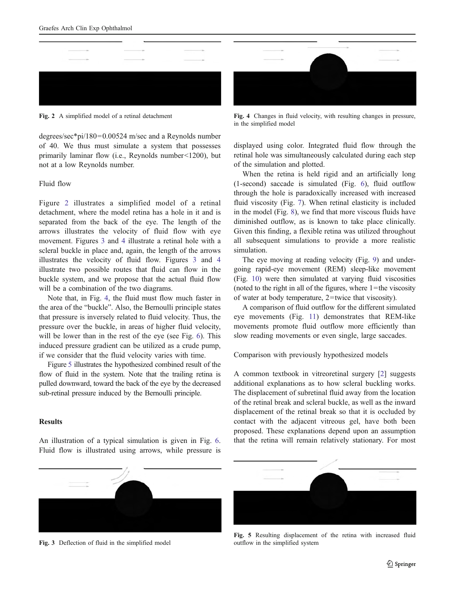<span id="page-2-0"></span>

Fig. 2 A simplified model of a retinal detachment

degrees/sec\*pi/180=0.00524 m/sec and a Reynolds number of 40. We thus must simulate a system that possesses primarily laminar flow (i.e., Reynolds number<1200), but not at a low Reynolds number.

# Fluid flow

Figure 2 illustrates a simplified model of a retinal detachment, where the model retina has a hole in it and is separated from the back of the eye. The length of the arrows illustrates the velocity of fluid flow with eye movement. Figures 3 and 4 illustrate a retinal hole with a scleral buckle in place and, again, the length of the arrows illustrates the velocity of fluid flow. Figures 3 and 4 illustrate two possible routes that fluid can flow in the buckle system, and we propose that the actual fluid flow will be a combination of the two diagrams.

Note that, in Fig. 4, the fluid must flow much faster in the area of the "buckle". Also, the Bernoulli principle states that pressure is inversely related to fluid velocity. Thus, the pressure over the buckle, in areas of higher fluid velocity, will be lower than in the rest of the eye (see Fig. [6](#page-3-0)). This induced pressure gradient can be utilized as a crude pump, if we consider that the fluid velocity varies with time.

Figure 5 illustrates the hypothesized combined result of the flow of fluid in the system. Note that the trailing retina is pulled downward, toward the back of the eye by the decreased sub-retinal pressure induced by the Bernoulli principle.

### Results

An illustration of a typical simulation is given in Fig. [6.](#page-3-0) Fluid flow is illustrated using arrows, while pressure is



Fig. 4 Changes in fluid velocity, with resulting changes in pressure, in the simplified model

displayed using color. Integrated fluid flow through the retinal hole was simultaneously calculated during each step of the simulation and plotted.

When the retina is held rigid and an artificially long (1-second) saccade is simulated (Fig. [6](#page-3-0)), fluid outflow through the hole is paradoxically increased with increased fluid viscosity (Fig. [7\)](#page-3-0). When retinal elasticity is included in the model (Fig. [8\)](#page-4-0), we find that more viscous fluids have diminished outflow, as is known to take place clinically. Given this finding, a flexible retina was utilized throughout all subsequent simulations to provide a more realistic simulation.

The eye moving at reading velocity (Fig. [9\)](#page-4-0) and undergoing rapid-eye movement (REM) sleep-like movement (Fig. [10](#page-4-0)) were then simulated at varying fluid viscosities (noted to the right in all of the figures, where  $1$ =the viscosity of water at body temperature, 2=twice that viscosity).

A comparison of fluid outflow for the different simulated eye movements (Fig. [11](#page-5-0)) demonstrates that REM-like movements promote fluid outflow more efficiently than slow reading movements or even single, large saccades.

Comparison with previously hypothesized models

A common textbook in vitreoretinal surgery [[2\]](#page-5-0) suggests additional explanations as to how scleral buckling works. The displacement of subretinal fluid away from the location of the retinal break and scleral buckle, as well as the inward displacement of the retinal break so that it is occluded by contact with the adjacent vitreous gel, have both been proposed. These explanations depend upon an assumption that the retina will remain relatively stationary. For most



Fig. 3 Deflection of fluid in the simplified model



Fig. 5 Resulting displacement of the retina with increased fluid outflow in the simplified system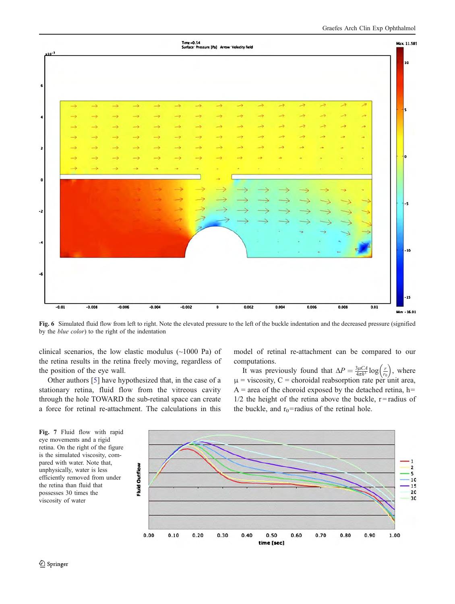<span id="page-3-0"></span>

Fig. 6 Simulated fluid flow from left to right. Note the elevated pressure to the left of the buckle indentation and the decreased pressure (signified by the blue color) to the right of the indentation

clinical scenarios, the low elastic modulus  $(\sim 1000 \text{ Pa})$  of the retina results in the retina freely moving, regardless of the position of the eye wall.

Other authors [\[5](#page-5-0)] have hypothesized that, in the case of a stationary retina, fluid flow from the vitreous cavity through the hole TOWARD the sub-retinal space can create a force for retinal re-attachment. The calculations in this model of retinal re-attachment can be compared to our computations.

It was previously found that  $\Delta P = \frac{3\mu C A}{4\pi h^3} \log \left(\frac{r}{r_0}\right)$ , where  $\mu$  = viscosity, C = choroidal reabsorption rate per unit area.  $A$  = area of the choroid exposed by the detached retina, h=  $1/2$  the height of the retina above the buckle,  $r =$  radius of the buckle, and  $r_0$ =radius of the retinal hole.

Fig. 7 Fluid flow with rapid eye movements and a rigid retina. On the right of the figure is the simulated viscosity, compared with water. Note that, unphysically, water is less efficiently removed from under the retina than fluid that possesses 30 times the viscosity of water

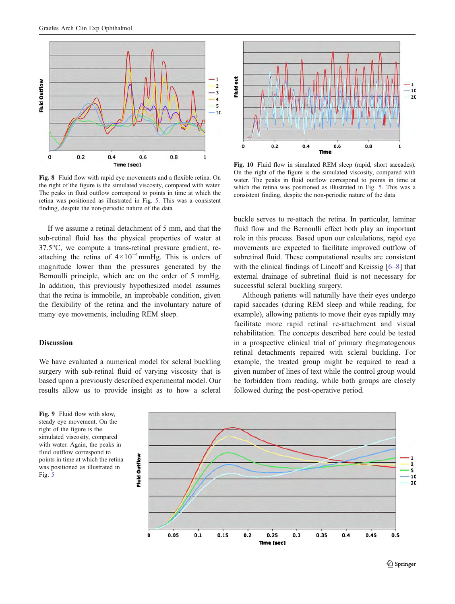<span id="page-4-0"></span>

Fig. 8 Fluid flow with rapid eye movements and a flexible retina. On the right of the figure is the simulated viscosity, compared with water. The peaks in fluid outflow correspond to points in time at which the retina was positioned as illustrated in Fig. [5](#page-2-0). This was a consistent finding, despite the non-periodic nature of the data

If we assume a retinal detachment of 5 mm, and that the sub-retinal fluid has the physical properties of water at 37.5°C, we compute a trans-retinal pressure gradient, reattaching the retina of  $4 \times 10^{-4}$ mmHg. This is orders of magnitude lower than the pressures generated by the Bernoulli principle, which are on the order of 5 mmHg. In addition, this previously hypothesized model assumes that the retina is immobile, an improbable condition, given the flexibility of the retina and the involuntary nature of many eye movements, including REM sleep.

# Discussion

We have evaluated a numerical model for scleral buckling surgery with sub-retinal fluid of varying viscosity that is based upon a previously described experimental model. Our results allow us to provide insight as to how a scleral



Fig. 10 Fluid flow in simulated REM sleep (rapid, short saccades). On the right of the figure is the simulated viscosity, compared with water. The peaks in fluid outflow correspond to points in time at which the retina was positioned as illustrated in Fig. [5.](#page-2-0) This was a consistent finding, despite the non-periodic nature of the data

buckle serves to re-attach the retina. In particular, laminar fluid flow and the Bernoulli effect both play an important role in this process. Based upon our calculations, rapid eye movements are expected to facilitate improved outflow of subretinal fluid. These computational results are consistent with the clinical findings of Lincoff and Kreissig [\[6](#page-5-0)–[8](#page-5-0)] that external drainage of subretinal fluid is not necessary for successful scleral buckling surgery.

Although patients will naturally have their eyes undergo rapid saccades (during REM sleep and while reading, for example), allowing patients to move their eyes rapidly may facilitate more rapid retinal re-attachment and visual rehabilitation. The concepts described here could be tested in a prospective clinical trial of primary rhegmatogenous retinal detachments repaired with scleral buckling. For example, the treated group might be required to read a given number of lines of text while the control group would be forbidden from reading, while both groups are closely followed during the post-operative period.

Fig. 9 Fluid flow with slow, steady eye movement. On the right of the figure is the simulated viscosity, compared with water. Again, the peaks in fluid outflow correspond to points in time at which the retina was positioned as illustrated in Fig. [5](#page-2-0)